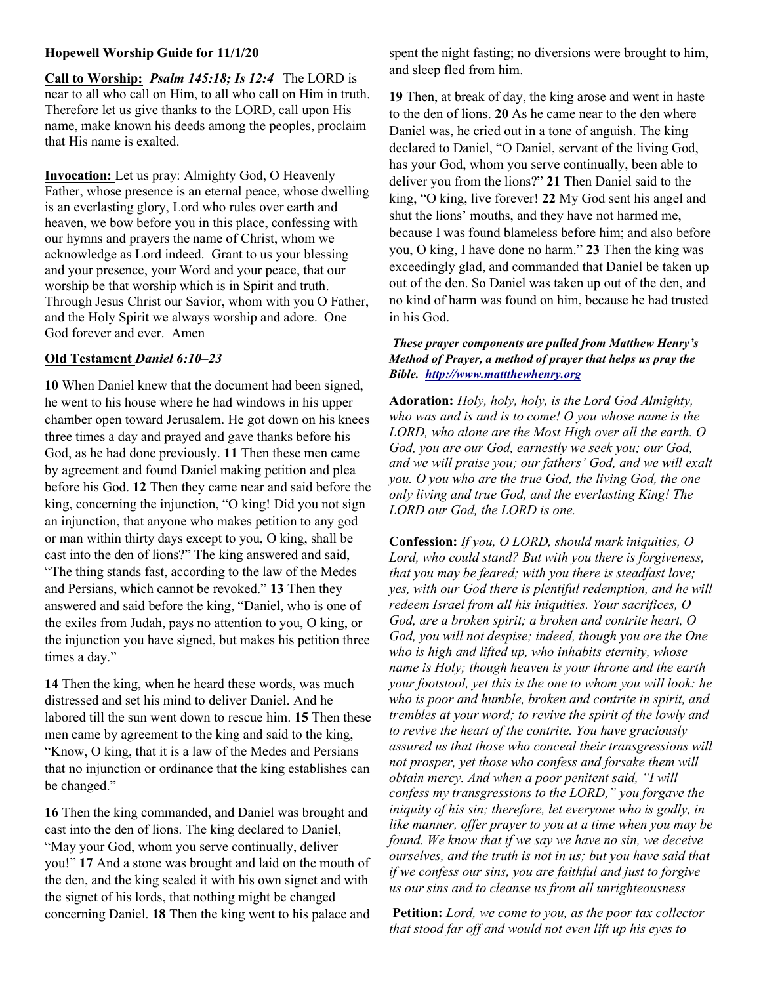# Hopewell Worship Guide for 11/1/20

Call to Worship: Psalm 145:18; Is 12:4 The LORD is near to all who call on Him, to all who call on Him in truth. Therefore let us give thanks to the LORD, call upon His name, make known his deeds among the peoples, proclaim that His name is exalted.

Invocation: Let us pray: Almighty God, O Heavenly Father, whose presence is an eternal peace, whose dwelling is an everlasting glory, Lord who rules over earth and heaven, we bow before you in this place, confessing with our hymns and prayers the name of Christ, whom we acknowledge as Lord indeed. Grant to us your blessing and your presence, your Word and your peace, that our worship be that worship which is in Spirit and truth. Through Jesus Christ our Savior, whom with you O Father, and the Holy Spirit we always worship and adore. One God forever and ever. Amen

## Old Testament Daniel 6:10–23

10 When Daniel knew that the document had been signed, he went to his house where he had windows in his upper chamber open toward Jerusalem. He got down on his knees three times a day and prayed and gave thanks before his God, as he had done previously. 11 Then these men came by agreement and found Daniel making petition and plea before his God. 12 Then they came near and said before the king, concerning the injunction, "O king! Did you not sign an injunction, that anyone who makes petition to any god or man within thirty days except to you, O king, shall be cast into the den of lions?" The king answered and said, "The thing stands fast, according to the law of the Medes and Persians, which cannot be revoked." 13 Then they answered and said before the king, "Daniel, who is one of the exiles from Judah, pays no attention to you, O king, or the injunction you have signed, but makes his petition three times a day."

14 Then the king, when he heard these words, was much distressed and set his mind to deliver Daniel. And he labored till the sun went down to rescue him. 15 Then these men came by agreement to the king and said to the king, "Know, O king, that it is a law of the Medes and Persians that no injunction or ordinance that the king establishes can be changed."

16 Then the king commanded, and Daniel was brought and cast into the den of lions. The king declared to Daniel, "May your God, whom you serve continually, deliver you!" 17 And a stone was brought and laid on the mouth of the den, and the king sealed it with his own signet and with the signet of his lords, that nothing might be changed concerning Daniel. 18 Then the king went to his palace and spent the night fasting; no diversions were brought to him, and sleep fled from him.

19 Then, at break of day, the king arose and went in haste to the den of lions. 20 As he came near to the den where Daniel was, he cried out in a tone of anguish. The king declared to Daniel, "O Daniel, servant of the living God, has your God, whom you serve continually, been able to deliver you from the lions?" 21 Then Daniel said to the king, "O king, live forever! 22 My God sent his angel and shut the lions' mouths, and they have not harmed me, because I was found blameless before him; and also before you, O king, I have done no harm." 23 Then the king was exceedingly glad, and commanded that Daniel be taken up out of the den. So Daniel was taken up out of the den, and no kind of harm was found on him, because he had trusted in his God.

## These prayer components are pulled from Matthew Henry's Method of Prayer, a method of prayer that helps us pray the Bible. http://www.mattthewhenry.org

Adoration: Holy, holy, holy, is the Lord God Almighty, who was and is and is to come! O you whose name is the LORD, who alone are the Most High over all the earth. O God, you are our God, earnestly we seek you; our God, and we will praise you; our fathers' God, and we will exalt you. O you who are the true God, the living God, the one only living and true God, and the everlasting King! The LORD our God, the LORD is one.

Confession: If you, O LORD, should mark iniquities, O Lord, who could stand? But with you there is forgiveness, that you may be feared; with you there is steadfast love; yes, with our God there is plentiful redemption, and he will redeem Israel from all his iniquities. Your sacrifices, O God, are a broken spirit; a broken and contrite heart, O God, you will not despise; indeed, though you are the One who is high and lifted up, who inhabits eternity, whose name is Holy; though heaven is your throne and the earth your footstool, yet this is the one to whom you will look: he who is poor and humble, broken and contrite in spirit, and trembles at your word; to revive the spirit of the lowly and to revive the heart of the contrite. You have graciously assured us that those who conceal their transgressions will not prosper, yet those who confess and forsake them will obtain mercy. And when a poor penitent said, "I will confess my transgressions to the LORD," you forgave the iniquity of his sin; therefore, let everyone who is godly, in like manner, offer prayer to you at a time when you may be found. We know that if we say we have no sin, we deceive ourselves, and the truth is not in us; but you have said that if we confess our sins, you are faithful and just to forgive us our sins and to cleanse us from all unrighteousness

Petition: Lord, we come to you, as the poor tax collector that stood far off and would not even lift up his eyes to